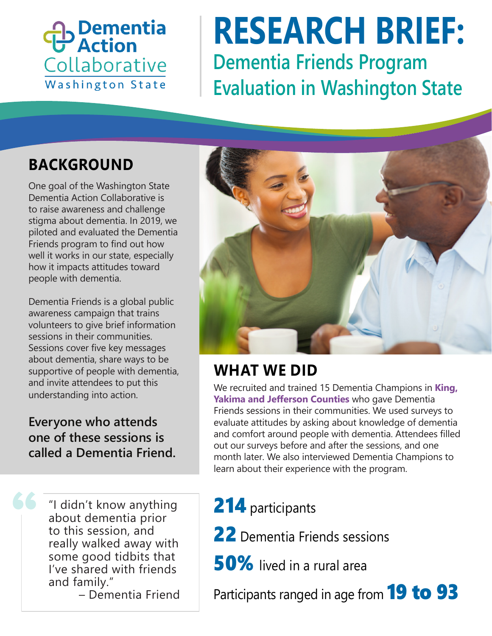## **Dementia**<br>P Action Collaborative Washington State

# **Dementia Friends Program Evaluation in Washington State RESEARCH BRIEF:**

### **BACKGROUND**

One goal of the Washington State Dementia Action Collaborative is to raise awareness and challenge stigma about dementia. In 2019, we piloted and evaluated the Dementia Friends program to find out how well it works in our state, especially how it impacts attitudes toward people with dementia.

Dementia Friends is a global public awareness campaign that trains volunteers to give brief information sessions in their communities. Sessions cover five key messages about dementia, share ways to be supportive of people with dementia, and invite attendees to put this understanding into action.

**Everyone who attends one of these sessions is called a Dementia Friend.**

> "I didn't know anything about dementia prior to this session, and really walked away with some good tidbits that I've shared with friends and family."

– Dementia Friend



#### **WHAT WE DID**

We recruited and trained 15 Dementia Champions in **King, Yakima and Jefferson Counties** who gave Dementia Friends sessions in their communities. We used surveys to evaluate attitudes by asking about knowledge of dementia and comfort around people with dementia. Attendees filled out our surveys before and after the sessions, and one month later. We also interviewed Dementia Champions to learn about their experience with the program.

214 participants

- 22 Dementia Friends sessions
- 50% lived in a rural area

Participants ranged in age from **19 to 93**